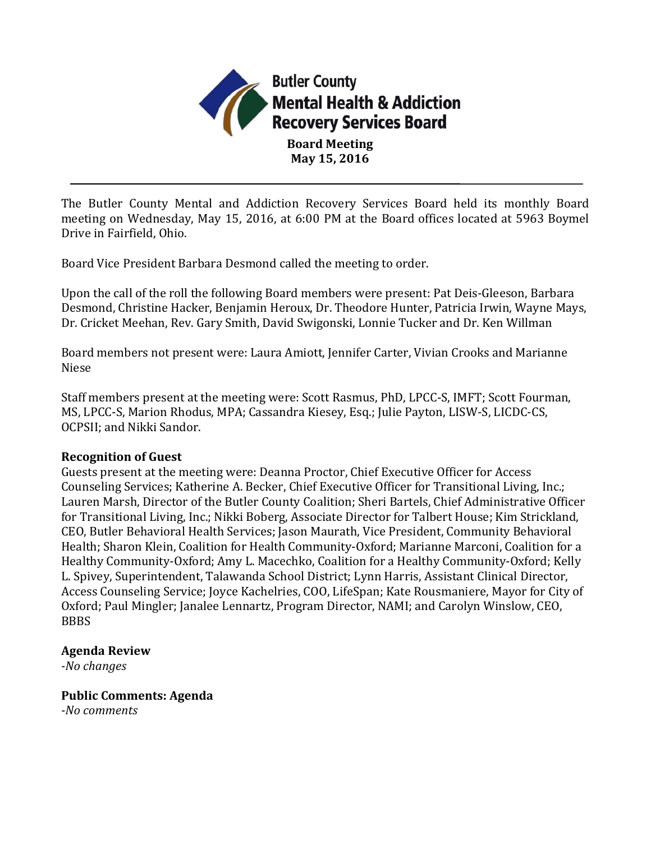

The Butler County Mental and Addiction Recovery Services Board held its monthly Board meeting on Wednesday, May 15, 2016, at 6:00 PM at the Board offices located at 5963 Boymel Drive in Fairfield, Ohio.

Board Vice President Barbara Desmond called the meeting to order.

Upon the call of the roll the following Board members were present: Pat Deis-Gleeson, Barbara Desmond, Christine Hacker, Benjamin Heroux, Dr. Theodore Hunter, Patricia Irwin, Wayne Mays, Dr. Cricket Meehan, Rev. Gary Smith, David Swigonski, Lonnie Tucker and Dr. Ken Willman

Board members not present were: Laura Amiott, Jennifer Carter, Vivian Crooks and Marianne Niese

Staff members present at the meeting were: Scott Rasmus, PhD, LPCC-S, IMFT; Scott Fourman, MS, LPCC-S, Marion Rhodus, MPA; Cassandra Kiesey, Esq.; Julie Payton, LISW-S, LICDC-CS, OCPSII; and Nikki Sandor.

#### **Recognition of Guest**

Guests present at the meeting were: Deanna Proctor, Chief Executive Officer for Access Counseling Services; Katherine A. Becker, Chief Executive Officer for Transitional Living, Inc.; Lauren Marsh, Director of the Butler County Coalition; Sheri Bartels, Chief Administrative Officer for Transitional Living, Inc.; Nikki Boberg, Associate Director for Talbert House; Kim Strickland, CEO, Butler Behavioral Health Services; Jason Maurath, Vice President, Community Behavioral Health; Sharon Klein, Coalition for Health Community-Oxford; Marianne Marconi, Coalition for a Healthy Community-Oxford; Amy L. Macechko, Coalition for a Healthy Community-Oxford; Kelly L. Spivey, Superintendent, Talawanda School District; Lynn Harris, Assistant Clinical Director, Access Counseling Service; Joyce Kachelries, COO, LifeSpan; Kate Rousmaniere, Mayor for City of Oxford; Paul Mingler; Janalee Lennartz, Program Director, NAMI; and Carolyn Winslow, CEO, BBBS

#### **Agenda Review**

*-No changes*

**Public Comments: Agenda**

*-No comments*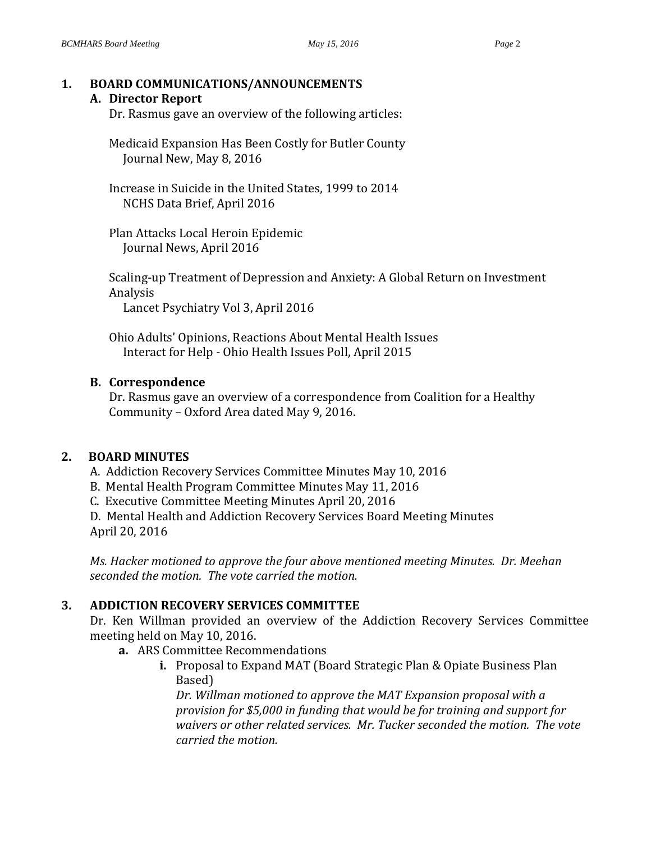#### **1. BOARD COMMUNICATIONS/ANNOUNCEMENTS A. Director Report**

Dr. Rasmus gave an overview of the following articles:

Medicaid Expansion Has Been Costly for Butler County Journal New, May 8, 2016

Increase in Suicide in the United States, 1999 to 2014 NCHS Data Brief, April 2016

Plan Attacks Local Heroin Epidemic Journal News, April 2016

Scaling-up Treatment of Depression and Anxiety: A Global Return on Investment Analysis

Lancet Psychiatry Vol 3, April 2016

Ohio Adults' Opinions, Reactions About Mental Health Issues Interact for Help - Ohio Health Issues Poll, April 2015

# **B. Correspondence**

Dr. Rasmus gave an overview of a correspondence from Coalition for a Healthy Community – Oxford Area dated May 9, 2016.

# **2. BOARD MINUTES**

- A. Addiction Recovery Services Committee Minutes May 10, 2016
- B. Mental Health Program Committee Minutes May 11, 2016
- C. Executive Committee Meeting Minutes April 20, 2016

D. Mental Health and Addiction Recovery Services Board Meeting Minutes April 20, 2016

*Ms. Hacker motioned to approve the four above mentioned meeting Minutes. Dr. Meehan seconded the motion. The vote carried the motion.*

# **3. ADDICTION RECOVERY SERVICES COMMITTEE**

Dr. Ken Willman provided an overview of the Addiction Recovery Services Committee meeting held on May 10, 2016.

- **a.** ARS Committee Recommendations
	- **i.** Proposal to Expand MAT (Board Strategic Plan & Opiate Business Plan Based)

*Dr. Willman motioned to approve the MAT Expansion proposal with a provision for \$5,000 in funding that would be for training and support for waivers or other related services. Mr. Tucker seconded the motion. The vote carried the motion.*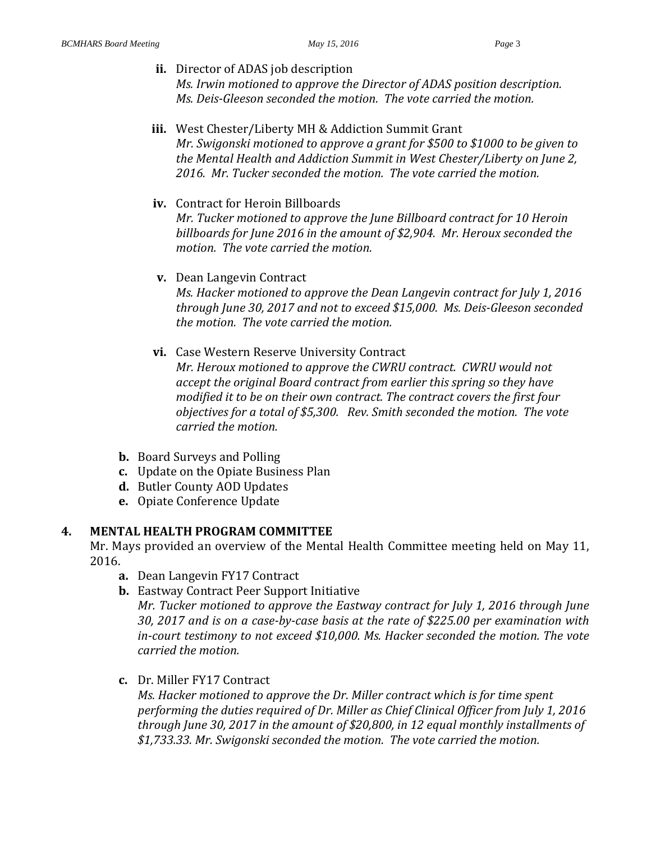- **ii.** Director of ADAS job description *Ms. Irwin motioned to approve the Director of ADAS position description. Ms. Deis-Gleeson seconded the motion. The vote carried the motion.*
- **iii.** West Chester/Liberty MH & Addiction Summit Grant *Mr. Swigonski motioned to approve a grant for \$500 to \$1000 to be given to the Mental Health and Addiction Summit in West Chester/Liberty on June 2, 2016. Mr. Tucker seconded the motion. The vote carried the motion.*
- **iv.** Contract for Heroin Billboards *Mr. Tucker motioned to approve the June Billboard contract for 10 Heroin billboards for June 2016 in the amount of \$2,904. Mr. Heroux seconded the motion. The vote carried the motion.*
- **v.** Dean Langevin Contract *Ms. Hacker motioned to approve the Dean Langevin contract for July 1, 2016 through June 30, 2017 and not to exceed \$15,000. Ms. Deis-Gleeson seconded the motion. The vote carried the motion.*
- **vi.** Case Western Reserve University Contract

*Mr. Heroux motioned to approve the CWRU contract. CWRU would not accept the original Board contract from earlier this spring so they have modified it to be on their own contract. The contract covers the first four objectives for a total of \$5,300. Rev. Smith seconded the motion. The vote carried the motion.*

- **b.** Board Surveys and Polling
- **c.** Update on the Opiate Business Plan
- **d.** Butler County AOD Updates
- **e.** Opiate Conference Update

#### **4. MENTAL HEALTH PROGRAM COMMITTEE**

Mr. Mays provided an overview of the Mental Health Committee meeting held on May 11, 2016.

- **a.** Dean Langevin FY17 Contract
- **b.** Eastway Contract Peer Support Initiative *Mr. Tucker motioned to approve the Eastway contract for July 1, 2016 through June 30, 2017 and is on a case-by-case basis at the rate of \$225.00 per examination with in-court testimony to not exceed \$10,000. Ms. Hacker seconded the motion. The vote carried the motion.*
- **c.** Dr. Miller FY17 Contract

*Ms. Hacker motioned to approve the Dr. Miller contract which is for time spent performing the duties required of Dr. Miller as Chief Clinical Officer from July 1, 2016 through June 30, 2017 in the amount of \$20,800, in 12 equal monthly installments of \$1,733.33. Mr. Swigonski seconded the motion. The vote carried the motion.*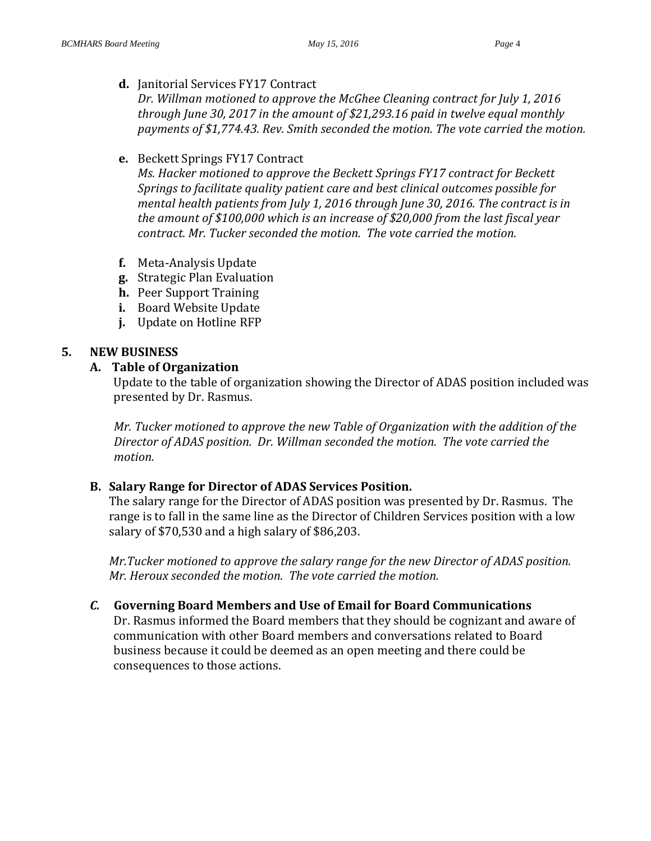**d.** Janitorial Services FY17 Contract

*Dr. Willman motioned to approve the McGhee Cleaning contract for July 1, 2016 through June 30, 2017 in the amount of \$21,293.16 paid in twelve equal monthly payments of \$1,774.43. Rev. Smith seconded the motion. The vote carried the motion.*

#### **e.** Beckett Springs FY17 Contract

*Ms. Hacker motioned to approve the Beckett Springs FY17 contract for Beckett Springs to facilitate quality patient care and best clinical outcomes possible for mental health patients from July 1, 2016 through June 30, 2016. The contract is in the amount of \$100,000 which is an increase of \$20,000 from the last fiscal year contract. Mr. Tucker seconded the motion. The vote carried the motion.*

- **f.** Meta-Analysis Update
- **g.** Strategic Plan Evaluation
- **h.** Peer Support Training
- **i.** Board Website Update
- **j.** Update on Hotline RFP

# **5. NEW BUSINESS**

## **A. Table of Organization**

Update to the table of organization showing the Director of ADAS position included was presented by Dr. Rasmus.

*Mr. Tucker motioned to approve the new Table of Organization with the addition of the Director of ADAS position. Dr. Willman seconded the motion. The vote carried the motion.*

# **B. Salary Range for Director of ADAS Services Position.**

The salary range for the Director of ADAS position was presented by Dr. Rasmus. The range is to fall in the same line as the Director of Children Services position with a low salary of \$70,530 and a high salary of \$86,203.

*Mr.Tucker motioned to approve the salary range for the new Director of ADAS position. Mr. Heroux seconded the motion. The vote carried the motion.*

# *C.* **Governing Board Members and Use of Email for Board Communications**

Dr. Rasmus informed the Board members that they should be cognizant and aware of communication with other Board members and conversations related to Board business because it could be deemed as an open meeting and there could be consequences to those actions.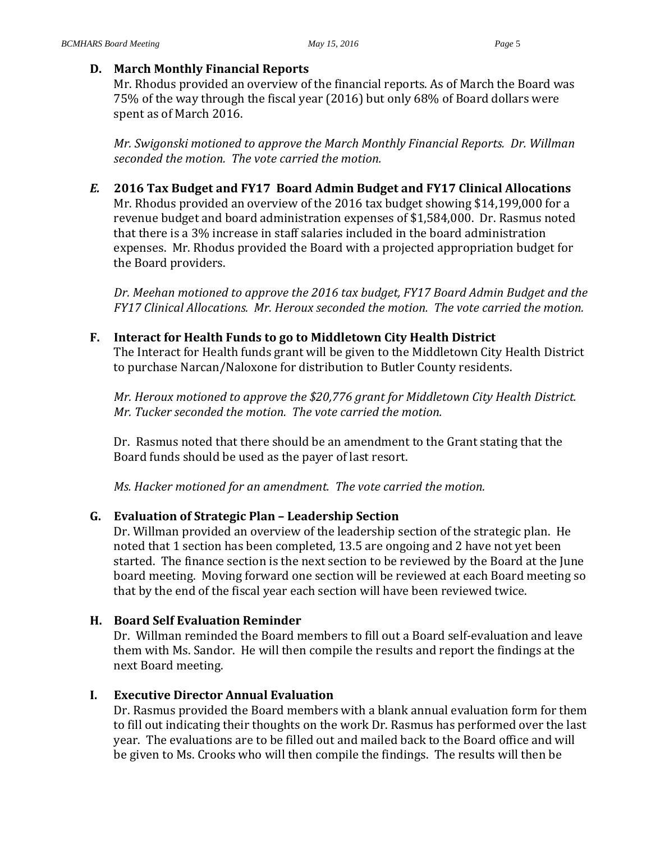#### **D. March Monthly Financial Reports**

Mr. Rhodus provided an overview of the financial reports. As of March the Board was 75% of the way through the fiscal year (2016) but only 68% of Board dollars were spent as of March 2016.

*Mr. Swigonski motioned to approve the March Monthly Financial Reports. Dr. Willman seconded the motion. The vote carried the motion.* 

*E.* **2016 Tax Budget and FY17 Board Admin Budget and FY17 Clinical Allocations** Mr. Rhodus provided an overview of the 2016 tax budget showing \$14,199,000 for a revenue budget and board administration expenses of \$1,584,000. Dr. Rasmus noted

that there is a 3% increase in staff salaries included in the board administration expenses. Mr. Rhodus provided the Board with a projected appropriation budget for the Board providers.

*Dr. Meehan motioned to approve the 2016 tax budget, FY17 Board Admin Budget and the FY17 Clinical Allocations. Mr. Heroux seconded the motion. The vote carried the motion.*

## **F. Interact for Health Funds to go to Middletown City Health District**

The Interact for Health funds grant will be given to the Middletown City Health District to purchase Narcan/Naloxone for distribution to Butler County residents.

*Mr. Heroux motioned to approve the \$20,776 grant for Middletown City Health District. Mr. Tucker seconded the motion. The vote carried the motion.*

Dr. Rasmus noted that there should be an amendment to the Grant stating that the Board funds should be used as the payer of last resort.

*Ms. Hacker motioned for an amendment. The vote carried the motion.*

# **G. Evaluation of Strategic Plan – Leadership Section**

Dr. Willman provided an overview of the leadership section of the strategic plan. He noted that 1 section has been completed, 13.5 are ongoing and 2 have not yet been started. The finance section is the next section to be reviewed by the Board at the June board meeting. Moving forward one section will be reviewed at each Board meeting so that by the end of the fiscal year each section will have been reviewed twice.

# **H. Board Self Evaluation Reminder**

Dr. Willman reminded the Board members to fill out a Board self-evaluation and leave them with Ms. Sandor. He will then compile the results and report the findings at the next Board meeting.

# **I. Executive Director Annual Evaluation**

Dr. Rasmus provided the Board members with a blank annual evaluation form for them to fill out indicating their thoughts on the work Dr. Rasmus has performed over the last year. The evaluations are to be filled out and mailed back to the Board office and will be given to Ms. Crooks who will then compile the findings. The results will then be